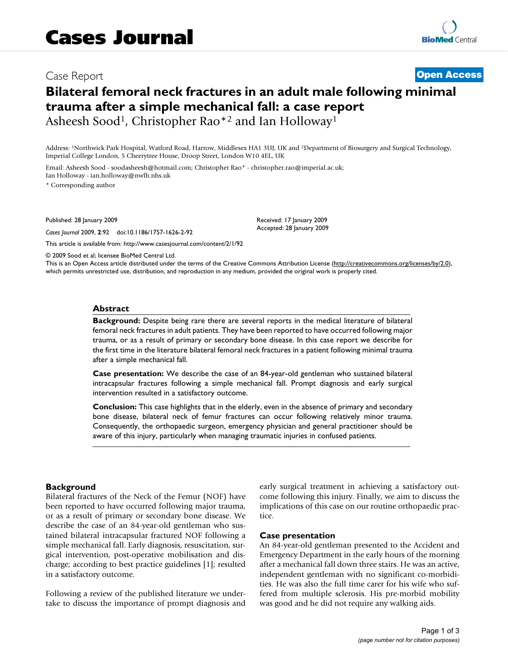# Case Report **[Open Access](http://www.biomedcentral.com/info/about/charter/)**

# **Bilateral femoral neck fractures in an adult male following minimal trauma after a simple mechanical fall: a case report** Asheesh Sood1, Christopher Rao\*2 and Ian Holloway1

Address: 1Northwick Park Hospital, Watford Road, Harrow, Middlesex HA1 3UJ, UK and 2Department of Biosurgery and Surgical Technology, Imperial College London, 5 Cheerytree House, Droop Street, London W10 4EL, UK

Email: Asheesh Sood - soodasheesh@hotmail.com; Christopher Rao\* - christopher.rao@imperial.ac.uk; Ian Holloway - ian.holloway@nwlh.nhs.uk

\* Corresponding author

Published: 28 January 2009

*Cases Journal* 2009, **2**:92 doi:10.1186/1757-1626-2-92

[This article is available from: http://www.casesjournal.com/content/2/1/92](http://www.casesjournal.com/content/2/1/92)

© 2009 Sood et al; licensee BioMed Central Ltd.

This is an Open Access article distributed under the terms of the Creative Commons Attribution License [\(http://creativecommons.org/licenses/by/2.0\)](http://creativecommons.org/licenses/by/2.0), which permits unrestricted use, distribution, and reproduction in any medium, provided the original work is properly cited.

Received: 17 January 2009 Accepted: 28 January 2009

#### **Abstract**

**Background:** Despite being rare there are several reports in the medical literature of bilateral femoral neck fractures in adult patients. They have been reported to have occurred following major trauma, or as a result of primary or secondary bone disease. In this case report we describe for the first time in the literature bilateral femoral neck fractures in a patient following minimal trauma after a simple mechanical fall.

**Case presentation:** We describe the case of an 84-year-old gentleman who sustained bilateral intracapsular fractures following a simple mechanical fall. Prompt diagnosis and early surgical intervention resulted in a satisfactory outcome.

**Conclusion:** This case highlights that in the elderly, even in the absence of primary and secondary bone disease, bilateral neck of femur fractures can occur following relatively minor trauma. Consequently, the orthopaedic surgeon, emergency physician and general practitioner should be aware of this injury, particularly when managing traumatic injuries in confused patients.

#### **Background**

Bilateral fractures of the Neck of the Femur (NOF) have been reported to have occurred following major trauma, or as a result of primary or secondary bone disease. We describe the case of an 84-year-old gentleman who sustained bilateral intracapsular fractured NOF following a simple mechanical fall. Early diagnosis, resuscitation, surgical intervention, post-operative mobilisation and discharge; according to best practice guidelines [1]; resulted in a satisfactory outcome.

Following a review of the published literature we undertake to discuss the importance of prompt diagnosis and early surgical treatment in achieving a satisfactory outcome following this injury. Finally, we aim to discuss the implications of this case on our routine orthopaedic practice.

#### **Case presentation**

An 84-year-old gentleman presented to the Accident and Emergency Department in the early hours of the morning after a mechanical fall down three stairs. He was an active, independent gentleman with no significant co-morbidities. He was also the full time carer for his wife who suffered from multiple sclerosis. His pre-morbid mobility was good and he did not require any walking aids.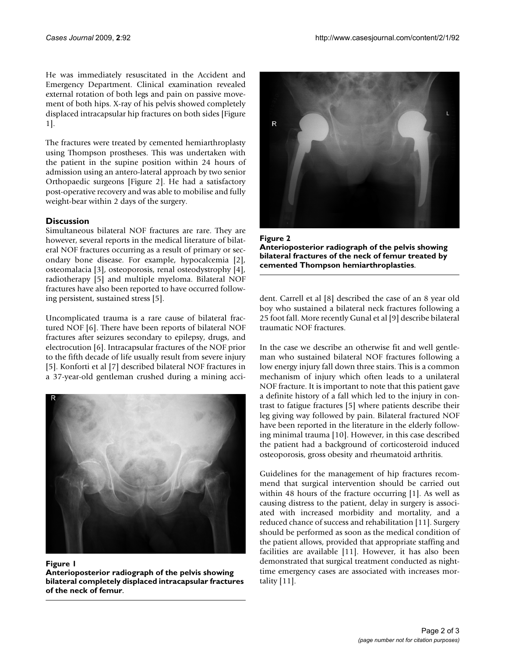He was immediately resuscitated in the Accident and Emergency Department. Clinical examination revealed external rotation of both legs and pain on passive movement of both hips. X-ray of his pelvis showed completely displaced intracapsular hip fractures on both sides [Figure 1].

The fractures were treated by cemented hemiarthroplasty using Thompson prostheses. This was undertaken with the patient in the supine position within 24 hours of admission using an antero-lateral approach by two senior Orthopaedic surgeons [Figure 2]. He had a satisfactory post-operative recovery and was able to mobilise and fully weight-bear within 2 days of the surgery.

# **Discussion**

Simultaneous bilateral NOF fractures are rare. They are however, several reports in the medical literature of bilateral NOF fractures occurring as a result of primary or secondary bone disease. For example, hypocalcemia [2], osteomalacia [3], osteoporosis, renal osteodystrophy [4], radiotherapy [5] and multiple myeloma. Bilateral NOF fractures have also been reported to have occurred following persistent, sustained stress [5].

Uncomplicated trauma is a rare cause of bilateral fractured NOF [6]. There have been reports of bilateral NOF fractures after seizures secondary to epilepsy, drugs, and electrocution [6]. Intracapsular fractures of the NOF prior to the fifth decade of life usually result from severe injury [5]. Konforti et al [7] described bilateral NOF fractures in a 37-year-old gentleman crushed during a mining acci-





**Anterioposterior radiograph of the pelvis showing bilateral completely displaced intracapsular fractures of the neck of femur**.



Figure 2 **Anterioposterior radiograph of the pelvis showing bilateral fractures of the neck of femur treated by cemented Thompson hemiarthroplasties**.

dent. Carrell et al [8] described the case of an 8 year old boy who sustained a bilateral neck fractures following a 25 foot fall. More recently Gunal et al [9] describe bilateral traumatic NOF fractures.

In the case we describe an otherwise fit and well gentleman who sustained bilateral NOF fractures following a low energy injury fall down three stairs. This is a common mechanism of injury which often leads to a unilateral NOF fracture. It is important to note that this patient gave a definite history of a fall which led to the injury in contrast to fatigue fractures [5] where patients describe their leg giving way followed by pain. Bilateral fractured NOF have been reported in the literature in the elderly following minimal trauma [10]. However, in this case described the patient had a background of corticosteroid induced osteoporosis, gross obesity and rheumatoid arthritis.

Guidelines for the management of hip fractures recommend that surgical intervention should be carried out within 48 hours of the fracture occurring [1]. As well as causing distress to the patient, delay in surgery is associated with increased morbidity and mortality, and a reduced chance of success and rehabilitation [11]. Surgery should be performed as soon as the medical condition of the patient allows, provided that appropriate staffing and facilities are available [11]. However, it has also been demonstrated that surgical treatment conducted as nighttime emergency cases are associated with increases mortality [11].